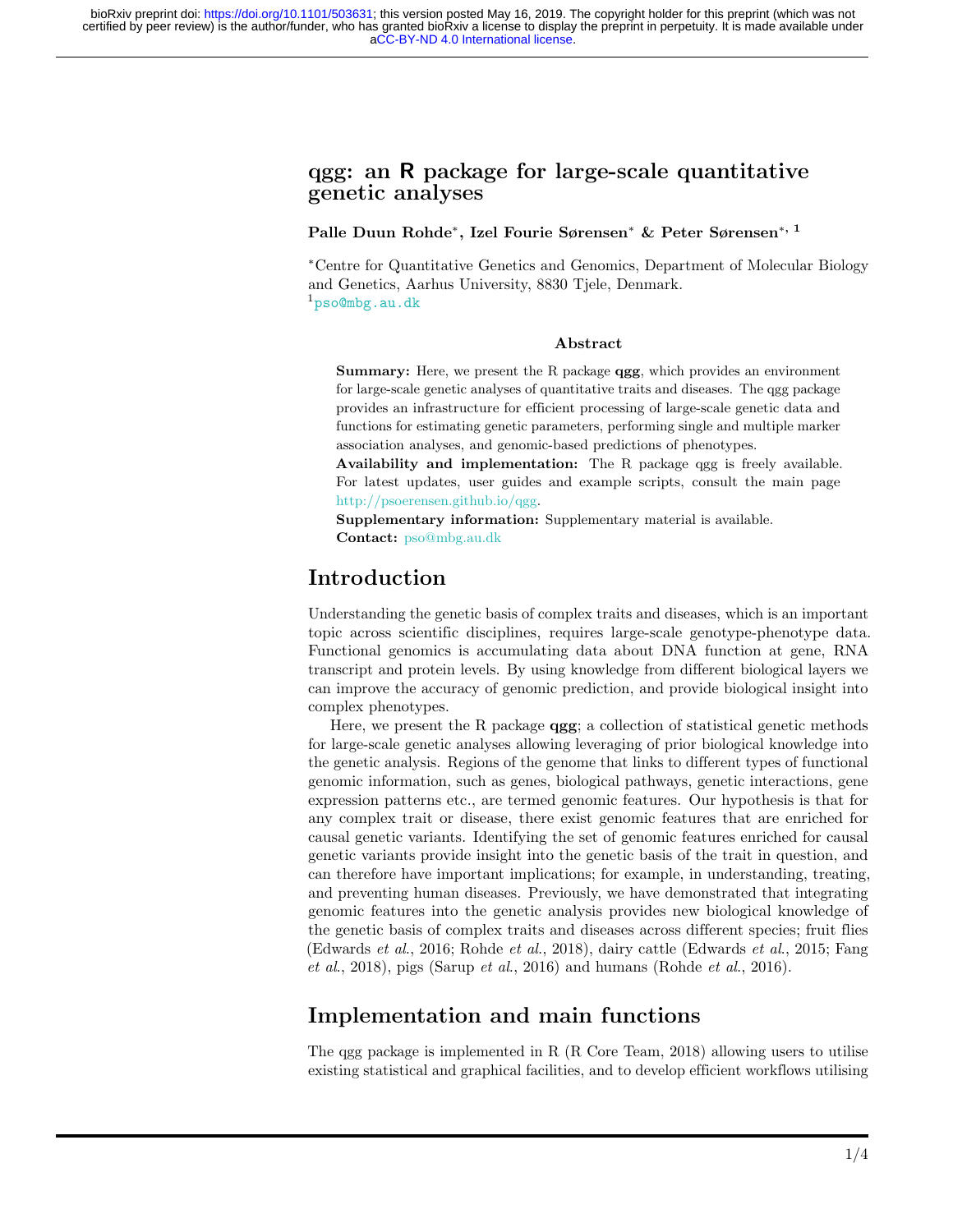#### qgg: an R package for large-scale quantitative genetic analyses

#### Palle Duun Rohde<sup>∗</sup> , Izel Fourie Sørensen<sup>∗</sup> & Peter Sørensen<sup>∗</sup>, 1

<sup>∗</sup>Centre for Quantitative Genetics and Genomics, Department of Molecular Biology and Genetics, Aarhus University, 8830 Tjele, Denmark.  $1_{\text{pso@mbg.au.dk}}$  $1_{\text{pso@mbg.au.dk}}$  $1_{\text{pso@mbg.au.dk}}$ 

#### Abstract

Summary: Here, we present the R package qgg, which provides an environment for large-scale genetic analyses of quantitative traits and diseases. The qgg package provides an infrastructure for efficient processing of large-scale genetic data and functions for estimating genetic parameters, performing single and multiple marker association analyses, and genomic-based predictions of phenotypes.

Availability and implementation: The R package qgg is freely available. For latest updates, user guides and example scripts, consult the main page [http://psoerensen.github.io/qgg.](http://psoerensen.github.io/qgg)

Supplementary information: Supplementary material is available. Contact: <pso@mbg.au.dk>

### Introduction

Understanding the genetic basis of complex traits and diseases, which is an important topic across scientific disciplines, requires large-scale genotype-phenotype data. Functional genomics is accumulating data about DNA function at gene, RNA transcript and protein levels. By using knowledge from different biological layers we can improve the accuracy of genomic prediction, and provide biological insight into complex phenotypes.

Here, we present the R package **qgg**; a collection of statistical genetic methods for large-scale genetic analyses allowing leveraging of prior biological knowledge into the genetic analysis. Regions of the genome that links to different types of functional genomic information, such as genes, biological pathways, genetic interactions, gene expression patterns etc., are termed genomic features. Our hypothesis is that for any complex trait or disease, there exist genomic features that are enriched for causal genetic variants. Identifying the set of genomic features enriched for causal genetic variants provide insight into the genetic basis of the trait in question, and can therefore have important implications; for example, in understanding, treating, and preventing human diseases. Previously, we have demonstrated that integrating genomic features into the genetic analysis provides new biological knowledge of the genetic basis of complex traits and diseases across different species; fruit flies [\(Edwards](#page-3-0) et al., [2016;](#page-3-0) [Rohde](#page-3-1) et al., [2018\)](#page-3-1), dairy cattle [\(Edwards](#page-3-2) et al., [2015;](#page-3-2) [Fang](#page-3-3)  $et al., 2018$  $et al., 2018$ , pigs [\(Sarup](#page-3-4)  $et al., 2016$ ) and humans [\(Rohde](#page-3-5)  $et al., 2016$ ).

## Implementation and main functions

The qgg package is implemented in R (R Core Team, 2018) allowing users to utilise existing statistical and graphical facilities, and to develop efficient workflows utilising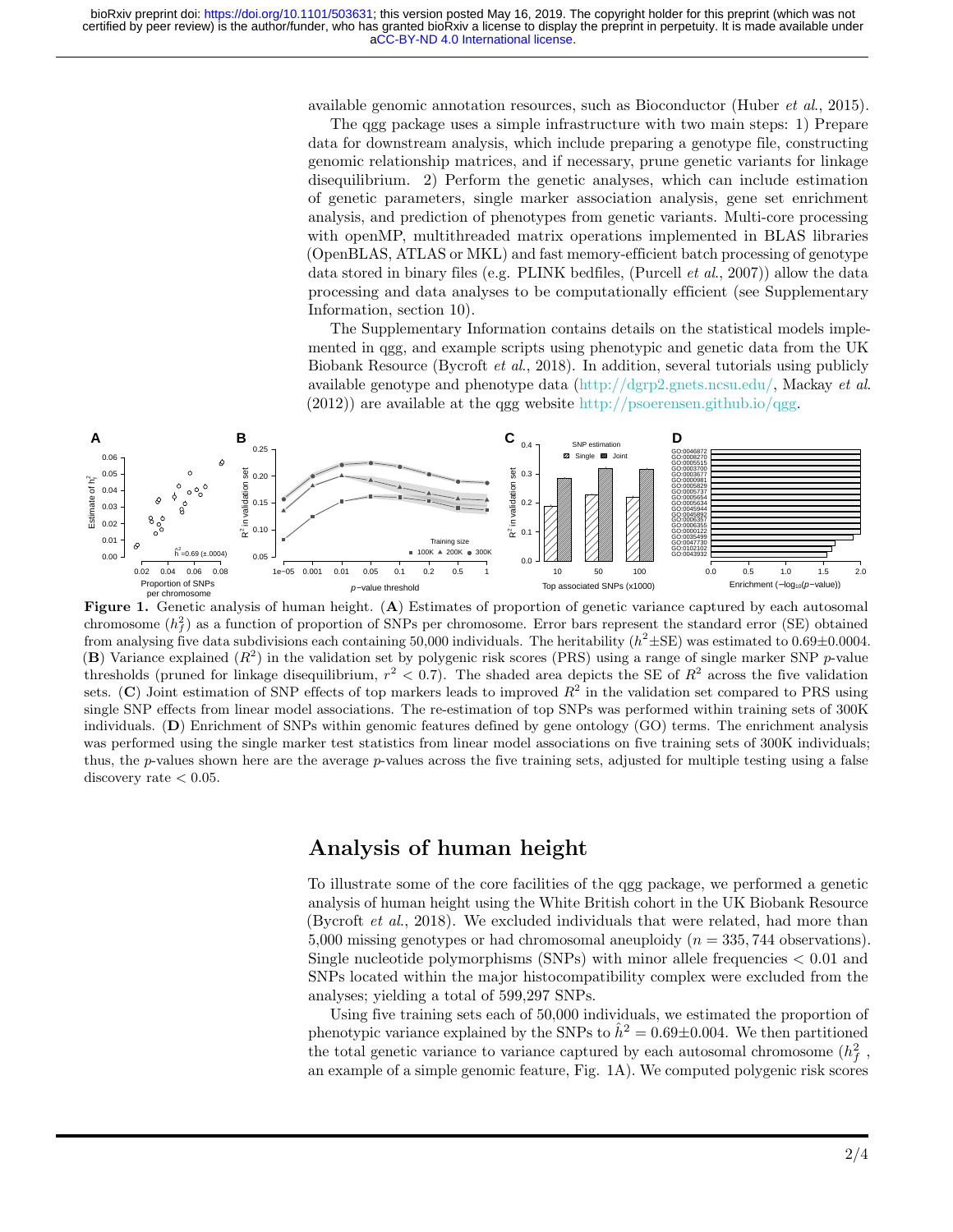available genomic annotation resources, such as Bioconductor [\(Huber](#page-3-7) et al., [2015\)](#page-3-7).

The qgg package uses a simple infrastructure with two main steps: 1) Prepare data for downstream analysis, which include preparing a genotype file, constructing genomic relationship matrices, and if necessary, prune genetic variants for linkage disequilibrium. 2) Perform the genetic analyses, which can include estimation of genetic parameters, single marker association analysis, gene set enrichment analysis, and prediction of phenotypes from genetic variants. Multi-core processing with openMP, multithreaded matrix operations implemented in BLAS libraries (OpenBLAS, ATLAS or MKL) and fast memory-efficient batch processing of genotype data stored in binary files (e.g. PLINK bedfiles, [\(Purcell](#page-3-8)  $et al., 2007$ )) allow the data processing and data analyses to be computationally efficient (see Supplementary Information, section 10).

The Supplementary Information contains details on the statistical models implemented in qgg, and example scripts using phenotypic and genetic data from the UK Biobank Resource [\(Bycroft](#page-3-9) et al., [2018\)](#page-3-9). In addition, several tutorials using publicly available genotype and phenotype data [\(http://dgrp2.gnets.ncsu.edu/,](http://dgrp2.gnets.ncsu.edu/) [Mackay](#page-3-10) et al.  $(2012)$  are available at the qgg website [http://psoerensen.github.io/qgg.](http://psoerensen.github.io/qgg)



Figure 1. Genetic analysis of human height. (A) Estimates of proportion of genetic variance captured by each autosomal chromosome  $(h_f^2)$  as a function of proportion of SNPs per chromosome. Error bars represent the standard error (SE) obtained from analysing five data subdivisions each containing 50,000 individuals. The heritability  $(h^2 \pm SE)$  was estimated to 0.69 $\pm$ 0.0004. (B) Variance explained  $(R^2)$  in the validation set by polygenic risk scores (PRS) using a range of single marker SNP p-value thresholds (pruned for linkage disequilibrium,  $r^2 < 0.7$ ). The shaded area depicts the SE of  $R^2$  across the five validation sets. (C) Joint estimation of SNP effects of top markers leads to improved  $R^2$  in the validation set compared to PRS using single SNP effects from linear model associations. The re-estimation of top SNPs was performed within training sets of 300K individuals. (D) Enrichment of SNPs within genomic features defined by gene ontology (GO) terms. The enrichment analysis was performed using the single marker test statistics from linear model associations on five training sets of 300K individuals; thus, the p-values shown here are the average p-values across the five training sets, adjusted for multiple testing using a false discovery rate  $< 0.05$ .

#### Analysis of human height

To illustrate some of the core facilities of the qgg package, we performed a genetic analysis of human height using the White British cohort in the UK Biobank Resource [\(Bycroft](#page-3-9) et al., [2018\)](#page-3-9). We excluded individuals that were related, had more than 5,000 missing genotypes or had chromosomal aneuploidy ( $n = 335,744$  observations). Single nucleotide polymorphisms (SNPs) with minor allele frequencies < 0.01 and SNPs located within the major histocompatibility complex were excluded from the analyses; yielding a total of 599,297 SNPs.

Using five training sets each of 50,000 individuals, we estimated the proportion of phenotypic variance explained by the SNPs to  $\hat{h}^2 = 0.69 \pm 0.004$ . We then partitioned the total genetic variance to variance captured by each autosomal chromosome  $(h_f^2, g_f^2)$ an example of a simple genomic feature, Fig. 1A). We computed polygenic risk scores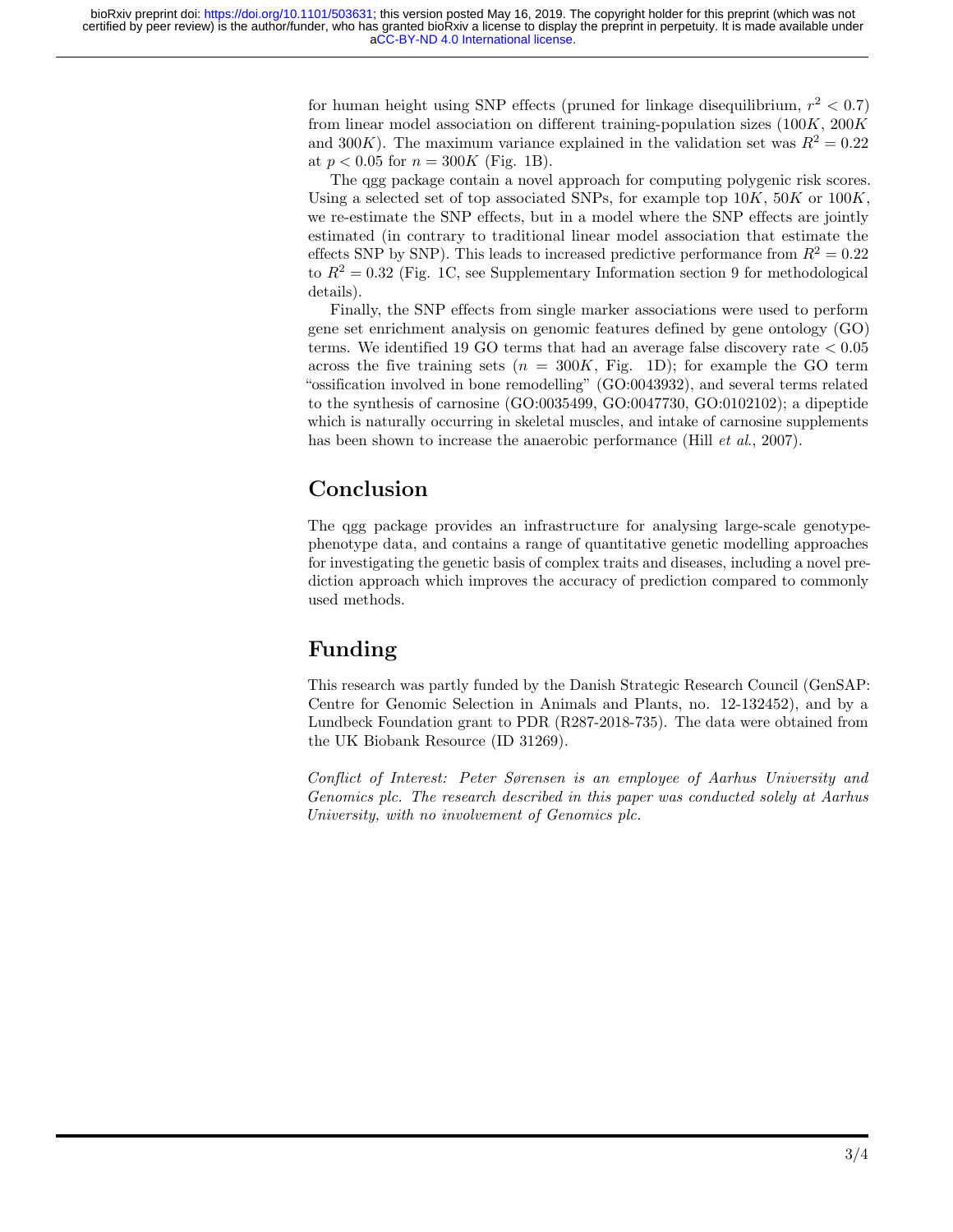for human height using SNP effects (pruned for linkage disequilibrium,  $r^2 < 0.7$ ) from linear model association on different training-population sizes  $(100K, 200K)$ and 300K). The maximum variance explained in the validation set was  $R^2 = 0.22$ at  $p < 0.05$  for  $n = 300K$  (Fig. 1B).

The qgg package contain a novel approach for computing polygenic risk scores. Using a selected set of top associated SNPs, for example top  $10K$ ,  $50K$  or  $100K$ , we re-estimate the SNP effects, but in a model where the SNP effects are jointly estimated (in contrary to traditional linear model association that estimate the effects SNP by SNP). This leads to increased predictive performance from  $R^2 = 0.22$ to  $R^2 = 0.32$  (Fig. 1C, see Supplementary Information section 9 for methodological details).

Finally, the SNP effects from single marker associations were used to perform gene set enrichment analysis on genomic features defined by gene ontology (GO) terms. We identified 19 GO terms that had an average false discovery rate < 0.05 across the five training sets  $(n = 300K, Fig. 1D)$ ; for example the GO term "ossification involved in bone remodelling" (GO:0043932), and several terms related to the synthesis of carnosine (GO:0035499, GO:0047730, GO:0102102); a dipeptide which is naturally occurring in skeletal muscles, and intake of carnosine supplements has been shown to increase the anaerobic performance (Hill *[et al](#page-3-11).*, [2007\)](#page-3-11).

## Conclusion

The qgg package provides an infrastructure for analysing large-scale genotypephenotype data, and contains a range of quantitative genetic modelling approaches for investigating the genetic basis of complex traits and diseases, including a novel prediction approach which improves the accuracy of prediction compared to commonly used methods.

# Funding

This research was partly funded by the Danish Strategic Research Council (GenSAP: Centre for Genomic Selection in Animals and Plants, no. 12-132452), and by a Lundbeck Foundation grant to PDR (R287-2018-735). The data were obtained from the UK Biobank Resource (ID 31269).

Conflict of Interest: Peter Sørensen is an employee of Aarhus University and Genomics plc. The research described in this paper was conducted solely at Aarhus University, with no involvement of Genomics plc.